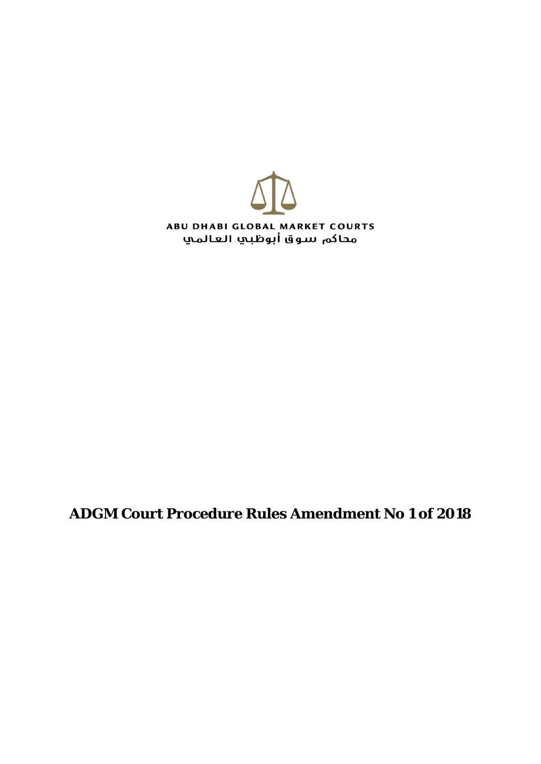

## **ADGM Court Procedure Rules Amendment No 1 of 2018**